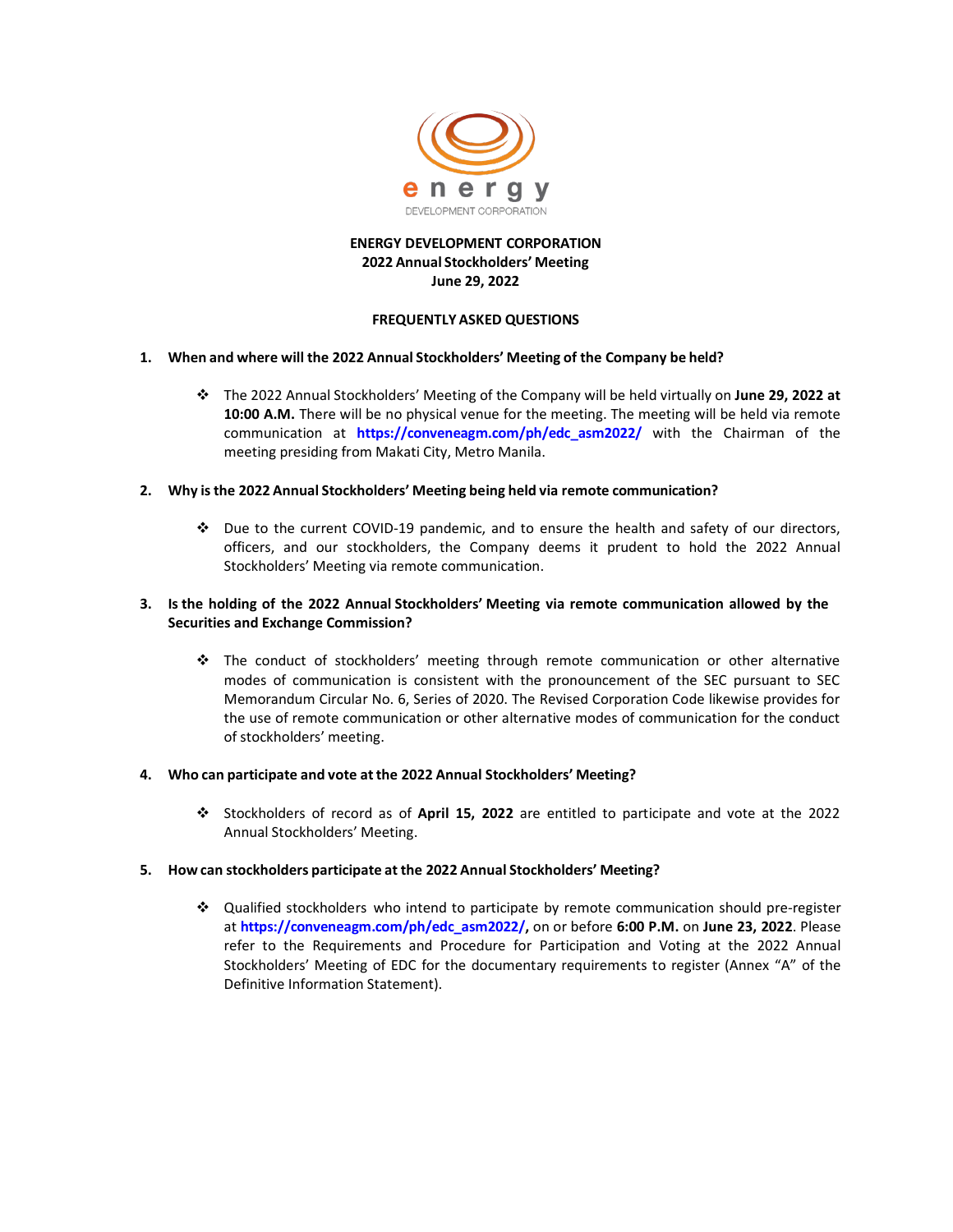

# **ENERGY DEVELOPMENT CORPORATION 2022 Annual Stockholders' Meeting June 29, 2022**

### **FREQUENTLY ASKED QUESTIONS**

### **1. When and where will the 2022 Annual Stockholders' Meeting of the Company be held?**

 The 2022 Annual Stockholders' Meeting of the Company will be held virtually on **June 29, 2022 at 10:00 A.M.** There will be no physical venue for the meeting. The meeting will be held via remote communication at **[https://conveneagm.com/ph/edc\\_asm2022/](https://conveneagm.com/ph/edc_asm2022/)** with the Chairman of the meeting presiding from Makati City, Metro Manila.

### **2. Why is the 2022 Annual Stockholders' Meeting being held via remote communication?**

 Due to the current COVID-19 pandemic, and to ensure the health and safety of our directors, officers, and our stockholders, the Company deems it prudent to hold the 2022 Annual Stockholders' Meeting via remote communication.

# **3. Is the holding of the 2022 Annual Stockholders' Meeting via remote communication allowed by the Securities and Exchange Commission?**

 The conduct of stockholders' meeting through remote communication or other alternative modes of communication is consistent with the pronouncement of the SEC pursuant to SEC Memorandum Circular No. 6, Series of 2020. The Revised Corporation Code likewise provides for the use of remote communication or other alternative modes of communication for the conduct of stockholders' meeting.

# **4. Who can participate and vote atthe 2022 Annual Stockholders' Meeting?**

 Stockholders of record as of **April 15, 2022** are entitled to participate and vote at the 2022 Annual Stockholders' Meeting.

# **5. How can stockholders participate at the 2022 Annual Stockholders' Meeting?**

 Qualified stockholders who intend to participate by remote communication should pre-register at **[https://conveneagm.com/ph/edc\\_asm2022/,](https://conveneagm.com/ph/edc_asm2022/)** on or before **6:00 P.M.** on **June 23, 2022**. Please refer to the Requirements and Procedure for Participation and Voting at the 2022 Annual Stockholders' Meeting of EDC for the documentary requirements to register (Annex "A" of the Definitive Information Statement).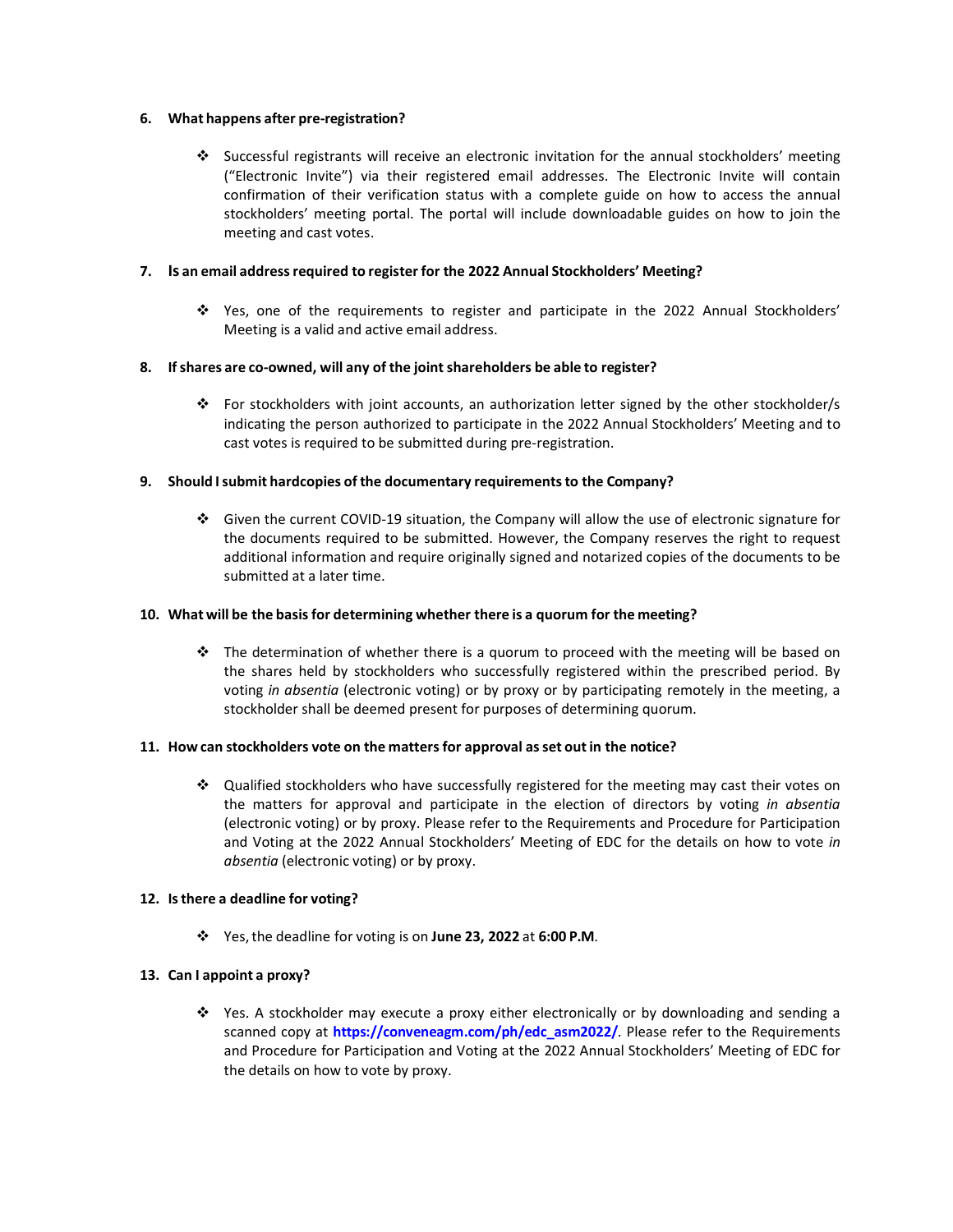### **6. What happens after pre-registration?**

 Successful registrants will receive an electronic invitation for the annual stockholders' meeting ("Electronic Invite") via their registered email addresses. The Electronic Invite will contain confirmation of their verification status with a complete guide on how to access the annual stockholders' meeting portal. The portal will include downloadable guides on how to join the meeting and cast votes.

#### **7. Is an email addressrequired to register for the 2022 Annual Stockholders' Meeting?**

 Yes, one of the requirements to register and participate in the 2022 Annual Stockholders' Meeting is a valid and active email address.

### **8. Ifshares are co-owned, will any of the jointshareholders be able to register?**

\* For stockholders with joint accounts, an authorization letter signed by the other stockholder/s indicating the person authorized to participate in the 2022 Annual Stockholders' Meeting and to cast votes is required to be submitted during pre-registration.

### **9. Should Isubmit hardcopies of the documentary requirementsto the Company?**

 Given the current COVID-19 situation, the Company will allow the use of electronic signature for the documents required to be submitted. However, the Company reserves the right to request additional information and require originally signed and notarized copies of the documents to be submitted at a later time.

#### **10. What will be the basis for determining whether there is a quorum for the meeting?**

 $\cdot \cdot$  The determination of whether there is a quorum to proceed with the meeting will be based on the shares held by stockholders who successfully registered within the prescribed period. By voting *in absentia* (electronic voting) or by proxy or by participating remotely in the meeting, a stockholder shall be deemed present for purposes of determining quorum.

#### **11. How can stockholders vote on the matters for approval asset outin the notice?**

 Qualified stockholders who have successfully registered for the meeting may cast their votes on the matters for approval and participate in the election of directors by voting *in absentia*  (electronic voting) or by proxy. Please refer to the Requirements and Procedure for Participation and Voting at the 2022 Annual Stockholders' Meeting of EDC for the details on how to vote *in absentia* (electronic voting) or by proxy.

# **12. Isthere a deadline for voting?**

Yes,the deadline for voting is on **June 23, 2022** at **6:00 P.M**.

# **13. Can I appoint a proxy?**

 $\cdot$  Yes. A stockholder may execute a proxy either electronically or by downloading and sending a scanned copy at **[https://conveneagm.com/ph/edc\\_asm2022/](https://conveneagm.com/ph/edc_asm2022/)**. Please refer to the Requirements and Procedure for Participation and Voting at the 2022 Annual Stockholders' Meeting of EDC for the details on how to vote by proxy.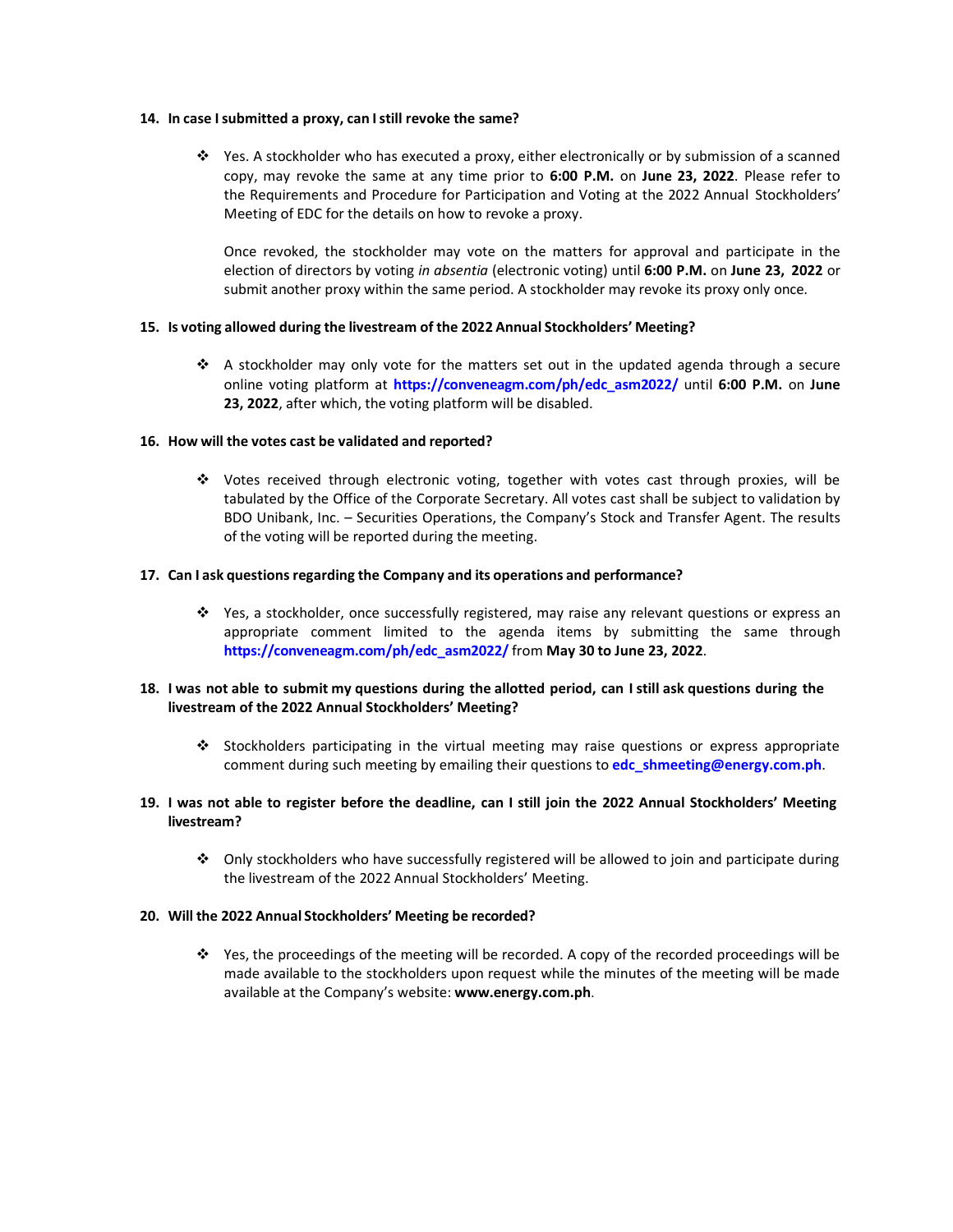#### **14. In case Isubmitted a proxy, can Istill revoke the same?**

 $\div$  Yes. A stockholder who has executed a proxy, either electronically or by submission of a scanned copy, may revoke the same at any time prior to **6:00 P.M.** on **June 23, 2022**. Please refer to the Requirements and Procedure for Participation and Voting at the 2022 Annual Stockholders' Meeting of EDC for the details on how to revoke a proxy.

Once revoked, the stockholder may vote on the matters for approval and participate in the election of directors by voting *in absentia* (electronic voting) until **6:00 P.M.** on **June 23, 2022** or submit another proxy within the same period. A stockholder may revoke its proxy only once.

#### **15. Is voting allowed during the livestream of the 2022 Annual Stockholders' Meeting?**

 $\cdot \cdot$  A stockholder may only vote for the matters set out in the updated agenda through a secure online voting platform at **[https://conveneagm.com/ph/edc\\_asm2022/](https://conveneagm.com/ph/edc_asm2022/)** until **6:00 P.M.** on **June 23, 2022**, after which, the voting platform will be disabled.

#### **16. How will the votes cast be validated and reported?**

 Votes received through electronic voting, together with votes cast through proxies, will be tabulated by the Office of the Corporate Secretary. All votes cast shall be subject to validation by BDO Unibank, Inc. – Securities Operations, the Company's Stock and Transfer Agent. The results of the voting will be reported during the meeting.

#### **17. Can I ask questions regarding the Company and its operations and performance?**

 Yes, a stockholder, once successfully registered, may raise any relevant questions or express an appropriate comment limited to the agenda items by submitting the same through **[https://conveneagm.com/ph/edc\\_asm2022/](https://conveneagm.com/ph/edc_asm2022/)** from **May 30 to June 23, 2022**.

# **18. I was not able to submit my questions during the allotted period, can I still ask questions during the livestream of the 2022 Annual Stockholders' Meeting?**

Stockholders participating in the virtual meeting may raise questions or express appropriate comment during such meeting by emailing their questions to **[edc\\_shmeeting@energy.com.ph](mailto:edc_shmeeting@energy.com.ph)**.

## 19. I was not able to register before the deadline, can I still join the 2022 Annual Stockholders' Meeting **livestream?**

 $\cdot$  Only stockholders who have successfully registered will be allowed to join and participate during the livestream of the 2022 Annual Stockholders' Meeting.

# **20. Will the 2022 Annual Stockholders' Meeting be recorded?**

 $\div$  Yes, the proceedings of the meeting will be recorded. A copy of the recorded proceedings will be made available to the stockholders upon request while the minutes of the meeting will be made available at the Company's website: **[www.energy.com.ph](http://www.energy.com.ph/)**.